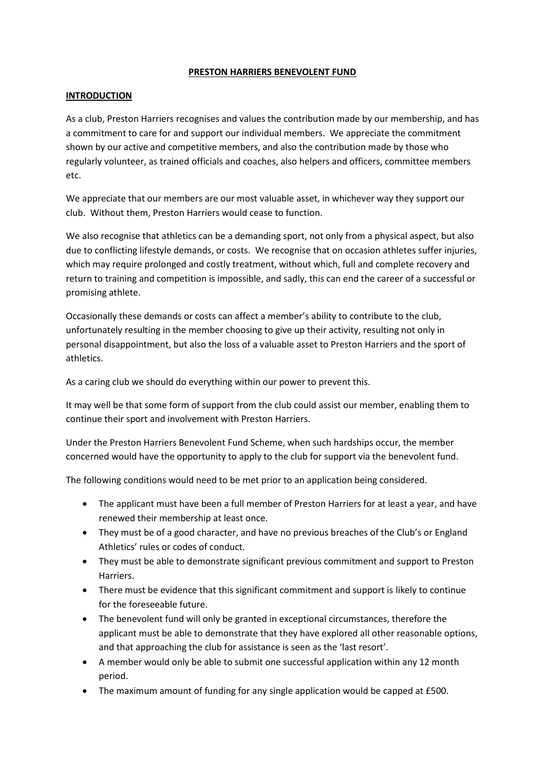## **PRESTON HARRIERS BENEVOLENT FUND**

## **INTRODUCTION**

As a club, Preston Harriers recognises and values the contribution made by our membership, and has a commitment to care for and support our individual members. We appreciate the commitment shown by our active and competitive members, and also the contribution made by those who regularly volunteer, as trained officials and coaches, also helpers and officers, committee members etc.

We appreciate that our members are our most valuable asset, in whichever way they support our club. Without them, Preston Harriers would cease to function.

We also recognise that athletics can be a demanding sport, not only from a physical aspect, but also due to conflicting lifestyle demands, or costs. We recognise that on occasion athletes suffer injuries, which may require prolonged and costly treatment, without which, full and complete recovery and return to training and competition is impossible, and sadly, this can end the career of a successful or promising athlete.

Occasionally these demands or costs can affect a member's ability to contribute to the club, unfortunately resulting in the member choosing to give up their activity, resulting not only in personal disappointment, but also the loss of a valuable asset to Preston Harriers and the sport of athletics.

As a caring club we should do everything within our power to prevent this.

It may well be that some form of support from the club could assist our member, enabling them to continue their sport and involvement with Preston Harriers.

Under the Preston Harriers Benevolent Fund Scheme, when such hardships occur, the member concerned would have the opportunity to apply to the club for support via the benevolent fund.

The following conditions would need to be met prior to an application being considered.

- The applicant must have been a full member of Preston Harriers for at least a year, and have renewed their membership at least once.
- They must be of a good character, and have no previous breaches of the Club's or England Athletics' rules or codes of conduct.
- They must be able to demonstrate significant previous commitment and support to Preston Harriers.
- There must be evidence that this significant commitment and support is likely to continue for the foreseeable future.
- The benevolent fund will only be granted in exceptional circumstances, therefore the applicant must be able to demonstrate that they have explored all other reasonable options, and that approaching the club for assistance is seen as the 'last resort'.
- A member would only be able to submit one successful application within any 12 month period.
- The maximum amount of funding for any single application would be capped at £500.